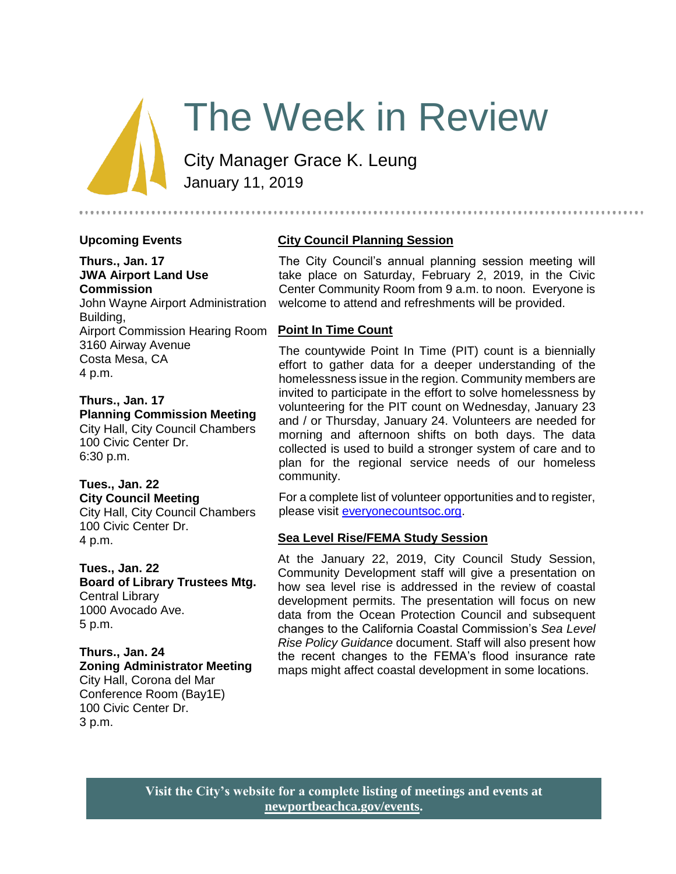# The Week in Review

City Manager Grace K. Leung January 11, 2019

### **Upcoming Events**

#### **Thurs., Jan. 17 JWA Airport Land Use Commission** John Wayne Airport Administration

Building, Airport Commission Hearing Room 3160 Airway Avenue Costa Mesa, CA 4 p.m.

**Thurs., Jan. 17 Planning Commission Meeting** City Hall, City Council Chambers 100 Civic Center Dr. 6:30 p.m.

## **Tues., Jan. 22**

**City Council Meeting** City Hall, City Council Chambers 100 Civic Center Dr. 4 p.m.

**Tues., Jan. 22 Board of Library Trustees Mtg.**  Central Library 1000 Avocado Ave.

5 p.m.

**Thurs., Jan. 24 Zoning Administrator Meeting** City Hall, Corona del Mar Conference Room (Bay1E) 100 Civic Center Dr.

3 p.m.

## **City Council Planning Session**

The City Council's annual planning session meeting will take place on Saturday, February 2, 2019, in the Civic Center Community Room from 9 a.m. to noon. Everyone is welcome to attend and refreshments will be provided.

#### **Point In Time Count**

The countywide Point In Time (PIT) count is a biennially effort to gather data for a deeper understanding of the homelessness issue in the region. Community members are invited to participate in the effort to solve homelessness by volunteering for the PIT count on Wednesday, January 23 and / or Thursday, January 24. Volunteers are needed for morning and afternoon shifts on both days. The data collected is used to build a stronger system of care and to plan for the regional service needs of our homeless community.

For a complete list of volunteer opportunities and to register, please visit [everyonecountsoc.org.](https://www.everyonecountsoc.org/)

### **Sea Level Rise/FEMA Study Session**

At the January 22, 2019, City Council Study Session, Community Development staff will give a presentation on how sea level rise is addressed in the review of coastal development permits. The presentation will focus on new data from the Ocean Protection Council and subsequent changes to the California Coastal Commission's *Sea Level Rise Policy Guidance* document. Staff will also present how the recent changes to the FEMA's flood insurance rate maps might affect coastal development in some locations.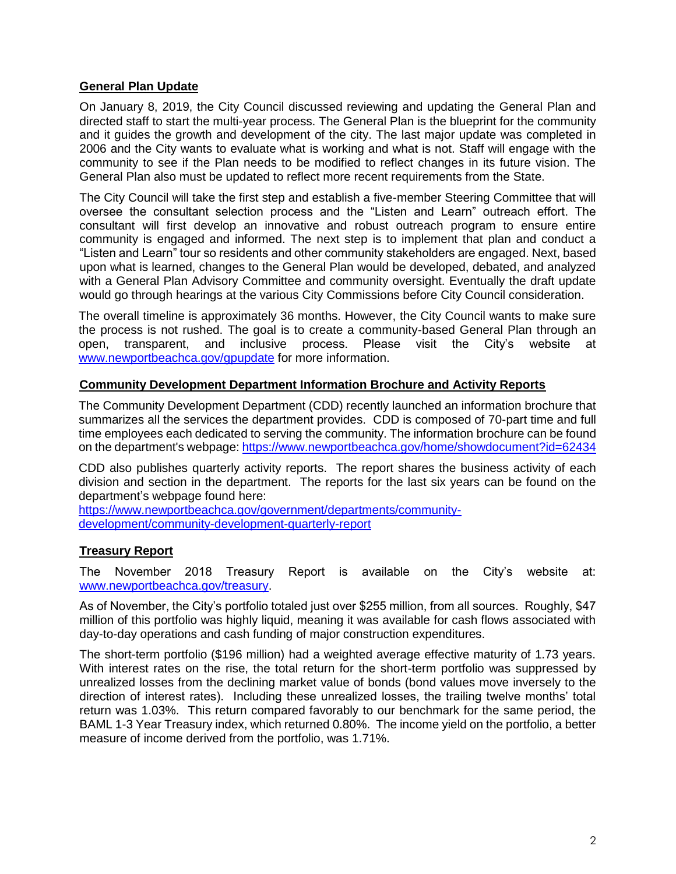## **General Plan Update**

On January 8, 2019, the City Council discussed reviewing and updating the General Plan and directed staff to start the multi-year process. The General Plan is the blueprint for the community and it guides the growth and development of the city. The last major update was completed in 2006 and the City wants to evaluate what is working and what is not. Staff will engage with the community to see if the Plan needs to be modified to reflect changes in its future vision. The General Plan also must be updated to reflect more recent requirements from the State.

The City Council will take the first step and establish a five-member Steering Committee that will oversee the consultant selection process and the "Listen and Learn" outreach effort. The consultant will first develop an innovative and robust outreach program to ensure entire community is engaged and informed. The next step is to implement that plan and conduct a "Listen and Learn" tour so residents and other community stakeholders are engaged. Next, based upon what is learned, changes to the General Plan would be developed, debated, and analyzed with a General Plan Advisory Committee and community oversight. Eventually the draft update would go through hearings at the various City Commissions before City Council consideration.

The overall timeline is approximately 36 months. However, the City Council wants to make sure the process is not rushed. The goal is to create a community-based General Plan through an open, transparent, and inclusive process. Please visit the City's website at [www.newportbeachca.gov/gpupdate](http://www.newportbeachca.gov/gpupdate) for more information.

## **Community Development Department Information Brochure and Activity Reports**

The Community Development Department (CDD) recently launched an information brochure that summarizes all the services the department provides. CDD is composed of 70-part time and full time employees each dedicated to serving the community. The information brochure can be found on the department's webpage:<https://www.newportbeachca.gov/home/showdocument?id=62434>

CDD also publishes quarterly activity reports. The report shares the business activity of each division and section in the department. The reports for the last six years can be found on the department's webpage found here:

[https://www.newportbeachca.gov/government/departments/community](https://www.newportbeachca.gov/government/departments/community-development/community-development-quarterly-report)[development/community-development-quarterly-report](https://www.newportbeachca.gov/government/departments/community-development/community-development-quarterly-report)

## **Treasury Report**

The November 2018 Treasury Report is available on the City's website at: [www.newportbeachca.gov/treasury.](https://www.newportbeachca.gov/government/departments/finance/financial-reporting-division/financial-information/treasury-reports)

As of November, the City's portfolio totaled just over \$255 million, from all sources. Roughly, \$47 million of this portfolio was highly liquid, meaning it was available for cash flows associated with day-to-day operations and cash funding of major construction expenditures.

The short-term portfolio (\$196 million) had a weighted average effective maturity of 1.73 years. With interest rates on the rise, the total return for the short-term portfolio was suppressed by unrealized losses from the declining market value of bonds (bond values move inversely to the direction of interest rates). Including these unrealized losses, the trailing twelve months' total return was 1.03%. This return compared favorably to our benchmark for the same period, the BAML 1-3 Year Treasury index, which returned 0.80%. The income yield on the portfolio, a better measure of income derived from the portfolio, was 1.71%.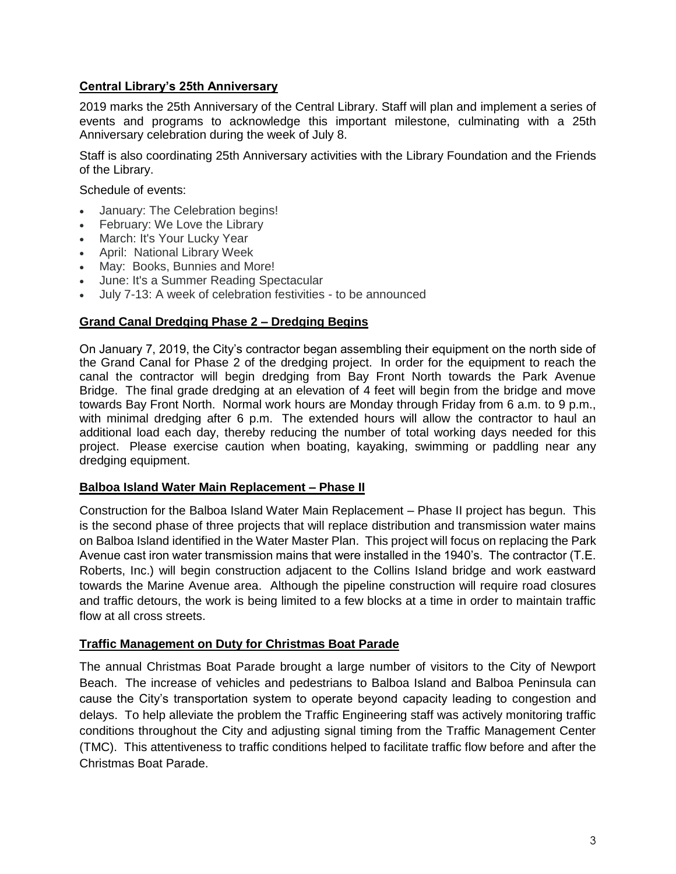## **Central Library's 25th Anniversary**

2019 marks the 25th Anniversary of the Central Library. Staff will plan and implement a series of events and programs to acknowledge this important milestone, culminating with a 25th Anniversary celebration during the week of July 8.

Staff is also coordinating 25th Anniversary activities with the Library Foundation and the Friends of the Library.

Schedule of events:

- January: The Celebration begins!
- February: We Love the Library
- March: It's Your Lucky Year
- April: National Library Week
- May: Books, Bunnies and More!
- June: It's a Summer Reading Spectacular
- July 7-13: A week of celebration festivities to be announced

#### **Grand Canal Dredging Phase 2 – Dredging Begins**

On January 7, 2019, the City's contractor began assembling their equipment on the north side of the Grand Canal for Phase 2 of the dredging project. In order for the equipment to reach the canal the contractor will begin dredging from Bay Front North towards the Park Avenue Bridge. The final grade dredging at an elevation of 4 feet will begin from the bridge and move towards Bay Front North. Normal work hours are Monday through Friday from 6 a.m. to 9 p.m., with minimal dredging after 6 p.m. The extended hours will allow the contractor to haul an additional load each day, thereby reducing the number of total working days needed for this project. Please exercise caution when boating, kayaking, swimming or paddling near any dredging equipment.

#### **Balboa Island Water Main Replacement – Phase II**

Construction for the Balboa Island Water Main Replacement – Phase II project has begun. This is the second phase of three projects that will replace distribution and transmission water mains on Balboa Island identified in the Water Master Plan. This project will focus on replacing the Park Avenue cast iron water transmission mains that were installed in the 1940's. The contractor (T.E. Roberts, Inc.) will begin construction adjacent to the Collins Island bridge and work eastward towards the Marine Avenue area. Although the pipeline construction will require road closures and traffic detours, the work is being limited to a few blocks at a time in order to maintain traffic flow at all cross streets.

### **Traffic Management on Duty for Christmas Boat Parade**

The annual Christmas Boat Parade brought a large number of visitors to the City of Newport Beach. The increase of vehicles and pedestrians to Balboa Island and Balboa Peninsula can cause the City's transportation system to operate beyond capacity leading to congestion and delays. To help alleviate the problem the Traffic Engineering staff was actively monitoring traffic conditions throughout the City and adjusting signal timing from the Traffic Management Center (TMC). This attentiveness to traffic conditions helped to facilitate traffic flow before and after the Christmas Boat Parade.